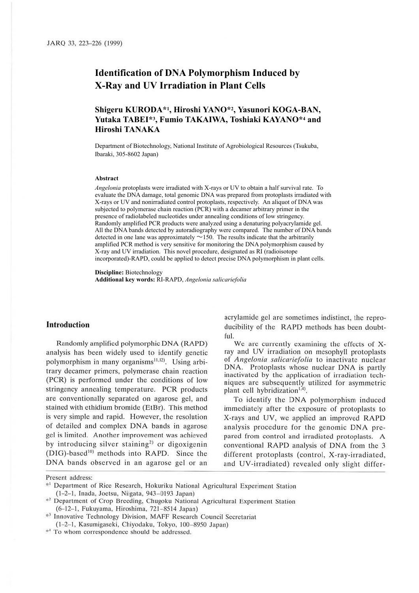# **Identification of DNA Polymorphism Induced by X-Ray and UV Irradiation in Plant Cells**

## **Shigeru KURODA\*1, Hiroshi YANO\*2, Yasunori KOGA-BAN, Yutaka TABEI\*3, Fumio TAKAIWA, Toshiaki KAYANO\*4 and Hiroshi TANAKA**

Department of Biotechnology, National Institute of Agrobiological Resources (Tsukuba, Ibaraki, 305-8602 Japan)

#### **Abstract**

*Angelonia* protoplasts were irradiated with X-rays or UV to obtain a half survival rate. To evaluate the DNA damage, total genomic DNA was prepared from protoplasts irradiated with X-rays or UV and nonirradiated control protoplasts, respectively. An aliquot of DNA was subjected to polymerase chain reaction (PCR) with a decamer arbitrary primer in the presence of radiolabeled nucleotides under annealing conditions of low stringency. Randomly amplified PCR products were analyzed using a denaturing polyacrylamide gel. All the DNA bands detected by autoradiography were compared. The number of DNA bands detected in one lane was approximately  $\sim$ 150. The results indicate that the arbitrarily amplified PCR method is very sensitive for monitoring the DNA polymorphism caused by X-ray and UV irradiation. This novel procedure, designated as RI (radioisotope incorporated)-RAPD, could be applied to detect precise DNA polymorphism in plant cells.

**Discipline:** Biotechnology **Additional key words:** RI-RAPD, *Angelonia salicariefolia*

## **Introduction**

Randomly amplified polymorphic DNA (RAPD) analysis has been widely used to identify genetic polymorphism in many organisms<sup>11,12)</sup>. Using arbitrary decamer primers, polymerase chain reaction (PCR) is performed under the conditions of low stringency annealing temperature. PCR products are conventionally separated on agarose gel, and stained with ethidium bromide (EtBr). This method is very simple and rapid. However, the resolution of detailed and complex DNA bands in agarose gel is limited. Another improvement was achieved by introducing silver staining<sup>2)</sup> or digoxigenin (DIG)-based<sup>10)</sup> methods into RAPD. Since the DNA bands observed in an agarose gel or an

acrylamide gel are sometimes indistinct, the reproducibility of the RAPD methods has been doubtful.

We are currently examining the effects of Xray and UV irradiation on mesophyll protoplasts of *Angelonia salicariefolia* to inactivate nuclear DNA. Protoplasts whose nuclear DNA is partly inactivated by the application of irradiation techniques are subsequently utilized for asymmetric plant cell hybridization<sup>1,4)</sup>.

To identify the DNA polymorphism induced immediately after the exposure of protoplasts to X-rays and UV, we applied an improved RAPD analysis procedure for the genomic DNA prepared from control and irradiated protoplasts. A conventional RAPD analysis of DNA from the 3 different protoplasts (control, X-ray-irradiated, and UV-irradiated) revealed only slight differ-

Present address:

<sup>\*</sup><sup>1</sup>Department of Rice Research, Hokuriku National Agricultural Experiment Station (1-2-1, Inada, Joetsu, Niigata, 943-0193 Japan)

<sup>\*2</sup> Department or Crop Breeding, Chugoku National Agricultural Experiment Station (6-12-1, Fukuyama, Hiroshima, 721-8514 Japan)

<sup>\*&</sup>lt;sup>3</sup> Innovative Technology Division, MAFF Research Council Secretariat

<sup>(1-2-1,</sup> Kasumigaseki, Chiyodaku, Tokyo, 100-8950 Japan)

<sup>\*&#</sup>x27;' To whom correspondence should be addressed.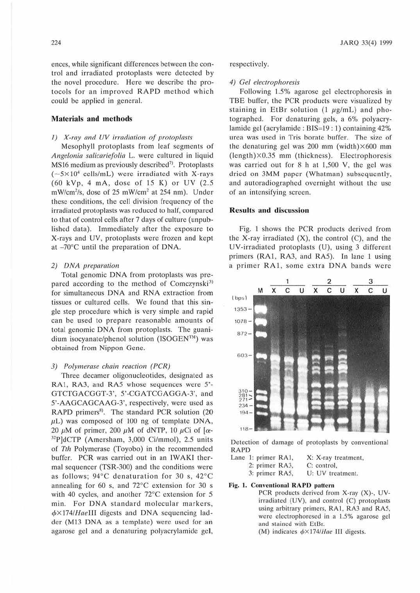ences, while significant differences between the control and irradiated protoplasts were detected by the novel procedure. Here we describe the protocols for an improved RAPD method which could be applied in general.

## **Materials and methods**

## $1)$  X-ray and UV irradiation of protoplasts

Mesophyll protoplasts from leaf segments of Angelonia salicariefolia L. were cultured in liquid MS16 medium as previously described<sup>7)</sup>. Protoplasts  $(-5 \times 10^4 \text{ cells/mL})$  were irradiated with X-rays (60 kVp, 4 mA, dose of 15 K) or UV (2.5 mW/cm<sup>2</sup>/s, dose of 25 mW/cm<sup>2</sup> at 254 nm). Under these conditions, the cell division frequency of the irradiated protoplasts was reduced to half, compared to that of control cells after 7 days of culture (unpublished data). Immediately after the exposure to X-rays and UV, protoplasts were frozen and kept at -70°C until the preparation of DNA.

## 2) DNA preparation

Total genomic DNA from protoplasts was prepared according to the method of Comczynski<sup>3)</sup> for simultaneous DNA and RNA extraction from tissues or cultured cells. We found that this single step procedure which is very simple and rapid can be used to prepare reasonable amounts of total genomic DNA from protoplasts. The guanidium isocyanate/phenol solution (ISOGEN™) was obtained from Nippon Gene.

#### 3) Polymerase chain reaction (PCR)

Three dccamer oligonucleotides, designated as RA1, RA3, and RA5 whose sequences were 5'-GTCTGACGGT-3', 5'-CGATCGAGGA-3' , and 5'-AAGCAGCAAG-3', respectively, were used as RAPD primers<sup>8)</sup>. The standard PCR solution (20  $\mu$ L) was composed of 100 ng of template DNA, 20  $\mu$ M of primer, 200  $\mu$ M of dNTP, 10  $\mu$ Ci of [ $\alpha$ - $32P$ ]dCTP (Amersham, 3,000 Ci/mmol), 2.5 units of Tth Polymerase (Toyobo) in the recommended buffer. PCR was carried out in an IWAKL thermal sequencer (TSR-300) and the conditions were as follows;  $94^{\circ}$ C denaturation for 30 s,  $42^{\circ}$ C annealing for 60 s, and  $72^{\circ}$ C extension for 30 s with 40 cycles, and another  $72^{\circ}$ C extension for 5 min. For DNA standard molecular markers,  $\phi \times 174$ /HaeIII digests and DNA sequencing ladder (Ml3 DNA as a template) were used for an agarose gel and a denaturing polyacrylamide gel,

## respectively.

## 4) Gel electrophoresis

Following 1.5% agarose gel electrophoresis in TBE buffer, the PCR products were visualized by staining in EtBr solution (1  $\mu$ g/mL) and photographed. For denaturing gels. a 6% polyacrylamide gel (acrylamide : BIS=19 : 1) containing 42% urea was used in Tris borate buffer. The size of the denaturing gel was 200 mm (width) $\times$ 600 mm  $(length) \times 0.35$  mm (thickness). Electrophoresis was carried out for 8 h at 1,500 V, the gel was dried on 3MM paper (Whatman) subsequently, and autoradiographed overnight without the use of an intensifying screen.

## **ResuJts and discussion**

Fig. I shows the PCR products derived from the X-ray irradiated  $(X)$ , the control  $(C)$ , and the UV-irradiated protoplasts (U), using 3 different primers (RAI, RA3, and RAS). In lane 1 using a primer RA1, some extra DNA bands were



Detection of damage of protoplasts by conventional RAPD

|  | Lane 1: primer RA1, |                | X: X-ray treatment, |  |  |  |
|--|---------------------|----------------|---------------------|--|--|--|
|  |                     | 2: primer RA3. | C: control.         |  |  |  |
|  |                     | 3: primer RA5, | U: UV treatment.    |  |  |  |

## Fig. I. Conventional **RAPD** pattern

- PCR products derived from X-ray (X)-, UVirradiated (UV), and control (C) protoplasts using arbitrary primers, RA1, RA3 and RA5, were electrophoresed in a 1.5% agarose gel and stained with EtBr.
	- (M) indicates  $\phi \times 174$  *Hae* III digests.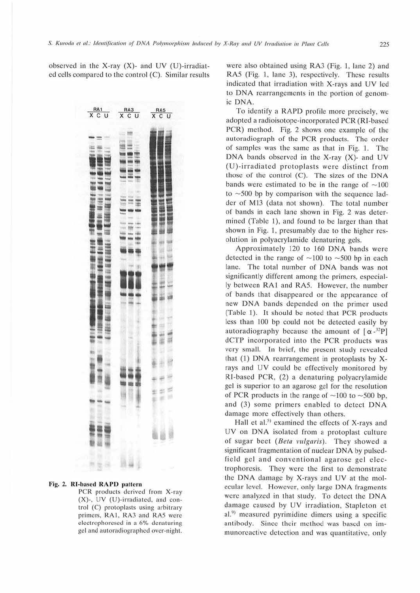

## Fig. 2. RI-based RAPD pattern

PCR products derived from X-ray (X)-, UV (U)-irradiated, and control (C) protoplasts using arbitrary primers, RA1, RA3 and RA5 were electrophoresed in a 6% denaturing gel and autoradiographed over-night. were also obtained using RA3 (Fig. 1, lane 2) and RA5 (Fig. 1, lane 3), respectively. These results indicated that irradiation with X-rays and UV led to DNA rearrangements in the portion of genomic DNA.

To identify a RAPD profile more precisely, we adopted a radioisotope-incorporated PCR (RI-based PCR) method. Fig. 2 shows one example of the autoradiograph of the PCR products. The order of samples was the same as that in Fig. 1. The DNA bands observed in the X-ray (X)- and UV (U)-irradiated protoplasts were distinct from those of the control (C). The sizes of the DNA bands were estimated to be in the range of  $\sim$ 100 to  $\sim$  500 bp by comparison with the sequence ladder of M13 (data not shown). The total number of bands in each lane shown in Fig. 2 was determined (Table 1), and found to be larger than that shown in Fig. 1, presumably due to the higher resolution in polyacrylamide denaturing gels.

Approximately 120 to 160 DNA bands were detected in the range of  $\sim$ 100 to  $\sim$ 500 bp in each lane. The total number of DNA bands was not significantly different among the primers, especially between RA1 and RA5. However, the number of bands that disappeared or the appearance of new DNA bands depended on the primer used (Table 1). It should be noted that PCR products less than 100 bp could not be detected easily by autoradiography because the amount of  $\alpha^{-32}P$ dCTP incorporated into the PCR products was very small. In brief, the present study revealed that (1) DNA rearrangement in protoplasts by Xrays and UV could be effectively monitored by RI-based PCR, (2) a denaturing polyacrylamide gel is superior to an agarose gel for the resolution of PCR products in the range of  $\sim$ 100 to  $\sim$ 500 bp. and (3) some primers enabled to detect DNA damage more effectively than others.

Hall et al.<sup>5)</sup> examined the effects of X-rays and UV on DNA isolated from a protoplast culture of sugar beet (Beta vulgaris). They showed a significant fragmentation of nuclear DNA by pulsedfield gel and conventional agarose gel electrophoresis. They were the first to demonstrate the DNA damage by X-rays and UV at the molecular level. However, only large DNA fragments were analyzed in that study. To detect the DNA damage caused by UV irradiation, Stapleton et al.<sup>9)</sup> measured pyrimidine dimers using a specific antibody. Since their method was based on immunoreactive detection and was quantitative, only